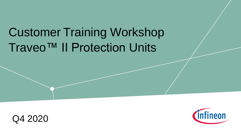## Traveo™ II Protection Units Customer Training Workshop



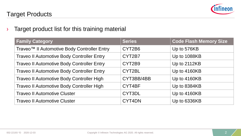

#### Target Products

 $\rightarrow$  Target product list for this training material

| <b>Family Category</b>                                  | <b>Series</b> | <b>Code Flash Memory Size</b> |
|---------------------------------------------------------|---------------|-------------------------------|
| Traveo <sup>™</sup> Il Automotive Body Controller Entry | CYT2B6        | Up to 576KB                   |
| <b>Traveo II Automotive Body Controller Entry</b>       | CYT2B7        | Up to 1088KB                  |
| <b>Traveo II Automotive Body Controller Entry</b>       | CYT2B9        | Up to 2112KB                  |
| <b>Traveo II Automotive Body Controller Entry</b>       | CYT2BL        | Up to 4160KB                  |
| Traveo II Automotive Body Controller High               | CYT3BB/4BB    | Up to 4160KB                  |
| Traveo II Automotive Body Controller High               | CYT4BF        | Up to 8384KB                  |
| <b>Traveo II Automotive Cluster</b>                     | CYT3DL        | Up to 4160KB                  |
| <b>Traveo II Automotive Cluster</b>                     | CYT4DN        | Up to 6336KB                  |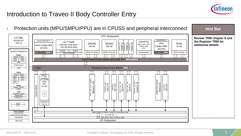

#### Introduction to Traveo II Body Controller Entry

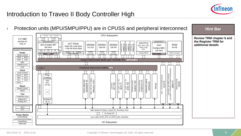

### Introduction to Traveo II Body Controller High

<sup>></sup> Protection units (MPU/SMPU/PPU) are in CPUSS and peripheral interconnect **Highland** Hint Bar

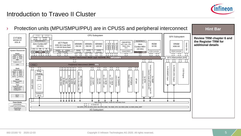

### Introduction to Traveo II Cluster

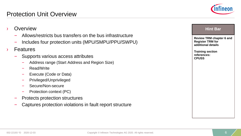

| Overview                                                                                                       | <b>Hint Bar</b>                                                                  |
|----------------------------------------------------------------------------------------------------------------|----------------------------------------------------------------------------------|
| Allows/restricts bus transfers on the bus infrastructure<br>Includes four protection units (MPU/SMPU/PPU/SWPU) | <b>Review TRM chapter 6 and</b><br><b>Register TRM for</b><br>additional details |
| <b>Features</b><br>$\lambda$                                                                                   | <b>Training section</b>                                                          |
| Supports various access attributes                                                                             | references:<br><b>CPUSS</b>                                                      |
| Address range (Start Address and Region Size)                                                                  |                                                                                  |
| Read/Write                                                                                                     |                                                                                  |
| Execute (Code or Data)                                                                                         |                                                                                  |
| Privileged/Unprivileged                                                                                        |                                                                                  |
| Secure/Non-secure                                                                                              |                                                                                  |
| Protection context (PC)                                                                                        |                                                                                  |
| Protects protection structures                                                                                 |                                                                                  |
| Captures protection violations in fault report structure                                                       |                                                                                  |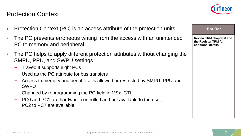#### Protection Context

- Protection Context (PC) is an access attribute of the protection units
- The PC prevents erroneous writing from the access with an unintended PC to memory and peripheral
- The PC helps to apply different protection attributes without changing the SMPU, PPU, and SWPU settings
	- Traveo II supports eight PCs
	- Used as the PC attribute for bus transfers
	- Access to memory and peripheral is allowed or restricted by SMPU, PPU and **SWPU**
	- Changed by reprogramming the PC field in MSx\_CTL
	- PC0 and PC1 are hardware-controlled and not available to the user; PC2 to PC7 are available



**Hint Bar** 

# **Review TRM chapter 6 and the Register TRM for additional details**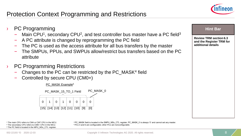#### Protection Context Programming and Restrictions



#### **PC Programming**

- Main CPU<sup>1</sup>, secondary CPU<sup>2</sup>, and test controller bus master have a PC field<sup>3</sup>
- A PC attribute is changed by reprogramming the PC field
- The PC is used as the access attribute for all bus transfers by the master
- The SMPUs, PPUs, and SWPUs allow/restrict bus transfers based on the PC attribute
- **PC Programming Restrictions** 
	- Changes to the PC can be restricted by the PC\_MASK<sup>4</sup> field
	- Controlled by secure CPU (CM0+)





<sup>1</sup> The main CPU refers to CM4 or CM7 CPU in the MCU. <sup>2</sup> The secondary CPU refers to CM0+ CPU in the MCU. <sup>3</sup> The PC field is located in the MPU\_MSx\_CTL register. <sup>4</sup>PC\_MASK field is located in the SMPU\_MSx\_CTL register. PC\_MASK\_0 is always '0' and cannot set any master.

#### **Hint Bar**

**Review TRM section 6.3 and the Register TRM for additional details**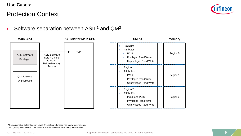

#### Protection Context

#### $\lambda$  Software separation between ASIL<sup>1</sup> and QM<sup>2</sup>

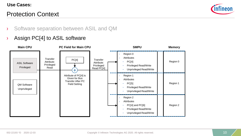#### Protection Context



- › Software separation between ASIL and QM
- › Assign PC[4] to ASIL software

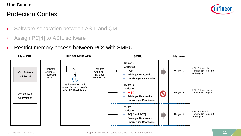#### Protection Context



- › Software separation between ASIL and QM
- › Assign PC[4] to ASIL software
- › Restrict memory access between PCs with SMPU

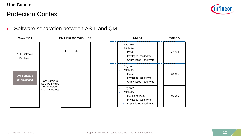

#### Protection Context

#### › Software separation between ASIL and QM

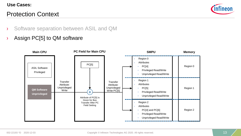#### Protection Context



- › Software separation between ASIL and QM
- › Assign PC[5] to QM software

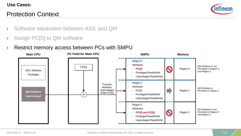#### Protection Context



- › Software separation between ASIL and QM
- › Assign PC[5] to QM software
- › Restrict memory access between PCs with SMPU

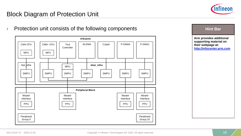

#### Block Diagram of Protection Unit

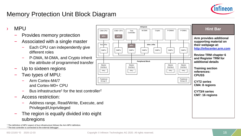

#### Memory Protection Unit Block Diagram

› MPU – Provides memory protection – Associated with a single master – Each CPU can independently give different roles – P-DMA, M-DMA, and Crypto inherit the attribute of programmed transfer Up to sixteen regions – Two types of MPU: – Arm Cortex-M4/7 and Cortex-M0+ CPU  $-$  Bus infrastructure<sup>1</sup> for the test controller<sup>2</sup> – Access restriction: – Address range, Read/Write, Execute, and Privileged/Unprivileged – The region is equally divided into eight subregions <sup>1</sup> The definition of MPU aspect of bus infrastructure follows the Arm MPU definition. <sup>2</sup> The test controller is connected to the external debugger. **Hint Bar Arm provides additional supporting material on their webpage at: [http://infocenter.arm.com](http://infocenter.arm.com/) Review TRM chapter 6 and Register TRM for additional details Training section references: CPUSS CYT2 series CM4: 8 regions CYT3/4 series CM7: 16 regions m4cpuss Peripheral Block** fast\_infra **slow** infra CM4 CPU **MPU** SMPU CM0+ CPU **MPU** SMPU Crypto SMPU SMPU Master Interface PPU Peripheral Group 0 **SMPU** Master Interface PPU Master Interface PPU Master Interface PPU SMPU M-DMA SMPU Peripheral Group 15 **MPU** Test II M-DMA II Crypto II P-DMA0 II P-DMA1 Controller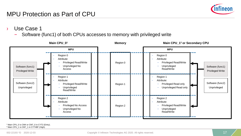

- Use Case 1
	- Software (func1) of both CPUs accesses to memory with privileged write

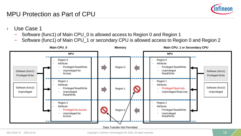

- Use Case 1
	- Software (func1) of Main CPU\_0 is allowed access to Region 0 and Region 1
	- Software (func1) of Main CPU\_1 or secondary CPU is allowed access to Region 0 and Region 2

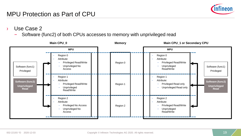

- Use Case 2
	- Software (func2) of both CPUs accesses to memory with unprivileged read

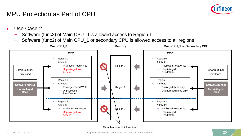

- Use Case 2
	- Software (func2) of Main CPU\_0 is allowed access to Region 1
	- Software (func2) of Main CPU\_1 or secondary CPU is allowed access to all regions

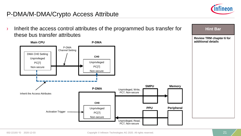

**Hint Bar** 

#### P-DMA/M-DMA/Crypto Access Attribute

 $\rightarrow$  Inherit the access control attributes of the programmed bus transfer for these bus transfer attributes

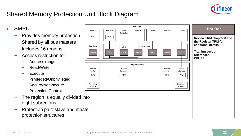

## Shared Memory Protection Unit Block Diagram

**SMPU** 

- Provides memory protection
- Shared by all bus masters
- Includes 16 regions
- Access restriction to:
	- Address range
	- Read/Write
	- **Execute**
	- Privileged/Unprivileged
	- Secure/Non-secure
	- Protection Context
- The region is equally divided into eight subregions
- Protection pair: slave and master protection structures

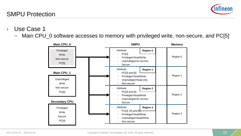

- Use Case 1
	- Main CPU\_0 software accesses to memory with privileged write, non-secure, and PC[5]

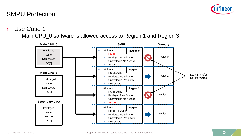#### 002-22193 \*D 2020-12-03 **Copyright © Infineon Technologies AG 2020.** All rights reserved. 24 **24**

- › Use Case 1
	- Main CPU\_0 software is allowed access to Region 1 and Region 3



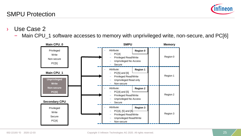

- Use Case 2
	- Main CPU\_1 software accesses to memory with unprivileged write, non-secure, and PC[6]

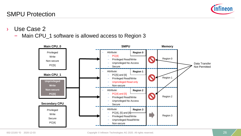- › Use Case 2
	- Main CPU\_1 software is allowed access to Region 3



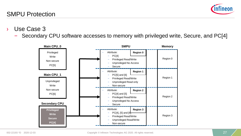- Use Case 3
	- Secondary CPU software accesses to memory with privileged write, Secure, and PC[4]



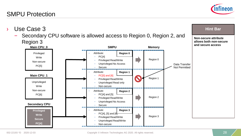## Use Case 3

– Secondary CPU software is allowed access to Region 0, Region 2, and Region 3

# SMPU Protection





**Hint Bar** 

**Non-secure attribute**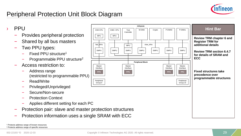

### Peripheral Protection Unit Block Diagram

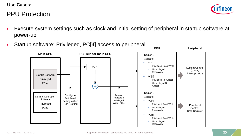## PPU Protection



- Execute system settings such as clock and initial setting of peripheral in startup software at power-up
	- Unprivileged Peripheral Control/ Data Register PC[4] Privileged Read/Write System Control (Clock, Interrupt, etc.) Region 0 Attribute: – PC[4] – Privileged Read/Write Read/Write – PC[6] – Privileged No Access – Unprivileged No Access **PPU Peripheral PC Field for main CPU** Normal Operation Software Privileged PC[6] **Main CPU** + Startup Software Privileged PC[4] **Configure Peripheral** Settings After PC[4] Setting Transfer Attribute is Privileged, Write, PC[4] Region 0 Attribute: – PC[4] – Privileged Read/Write – Unprivileged Read/Write – PC[6] – Privileged Read/Write – Unprivileged
- › Startup software: Privileged, PC[4] access to peripheral

Read/Write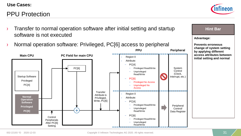#### PPU Protection



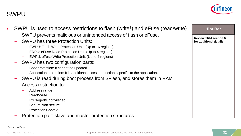

| SWPU is used to access restrictions to flash (write <sup>1</sup> ) and eFuse (read/write)<br>SWPU prevents malicious or unintended access of flash or eFuse. | <b>Hint Bar</b>               |
|--------------------------------------------------------------------------------------------------------------------------------------------------------------|-------------------------------|
|                                                                                                                                                              | <b>Review TRM section 6.5</b> |
| <b>SWPU has three Protection Units:</b>                                                                                                                      | for additional details        |
| FWPU: Flash Write Protection Unit. (Up to 16 regions)                                                                                                        |                               |
| ERPU: eFuse Read Protection Unit. (Up to 4 regions)                                                                                                          |                               |
| EWPU: eFuse Write Protection Unit. (Up to 4 regions)                                                                                                         |                               |
| SWPU has two configuration parts:                                                                                                                            |                               |
| Boot protection: It cannot be updated.                                                                                                                       |                               |
| Application protection: It is additional access restrictions specific to the application.                                                                    |                               |
| SWPU is read during boot process from SFIash, and stores them in RAM                                                                                         |                               |
| Access restriction to:                                                                                                                                       |                               |
| Address range                                                                                                                                                |                               |
| Read/Write                                                                                                                                                   |                               |
| Privileged/Unprivileged                                                                                                                                      |                               |
| Secure/Non-secure                                                                                                                                            |                               |
| <b>Protection Context</b>                                                                                                                                    |                               |
| Protection pair: slave and master protection structures                                                                                                      |                               |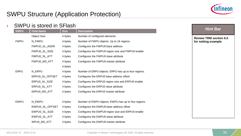

**Hint Bar** 

**Review TRM section 6.5 for setting example**

#### SWPU Structure (Application Protection)

#### › SWPU is stored in SFlash

| <b>SWPU</b> | <b>Field Name</b>    | <b>Size</b> | <b>Description</b>                                   |
|-------------|----------------------|-------------|------------------------------------------------------|
|             | <b>Object Size</b>   | 4 bytes     | Number of configured elements                        |
| <b>FWPU</b> | N FWPU               | 4 bytes     | Number of FWPU objects. Up to 16 regions             |
|             | <b>FWPUO SL ADDR</b> | 4 bytes     | Configures the FWPU0 base address                    |
|             | FWPU0_SL_SIZE        | 4 bytes     | Configures the FWPU0 region size and FWPU0 enable    |
|             | FWPU0_SL_ATT         | 4 bytes     | Configures the FWPU0 slave attribute                 |
|             | FWPU0_MS_ATT         | 4 bytes     | Configures the FWPU0 master attribute                |
|             |                      | 4 bytes     |                                                      |
| <b>ERPU</b> | N_ERPU               | 4 bytes     | Number of ERPU objects. ERPU has up to four regions. |
|             | ERPU0_SL_OFFSET      | 4 bytes     | Configures the ERPU0 base address offset             |
|             | ERPU0_SL_SIZE        | 4 bytes     | Configures the ERPU0 region size and ERPU0 enable    |
|             | ERPU0_SL_ATT         | 4 bytes     | Configures the ERPU0 slave attribute                 |
|             | ERPUO MS ATT         | 4 bytes     | Configures the ERPU0 master attribute                |
|             |                      |             |                                                      |
| <b>EWPU</b> | N_EWPU               | 4 bytes     | Number of EWPU objects. EWPU has up to four regions. |
|             | EWPU0_SL_OFFSET      | 4 bytes     | Configures the EWPU0 base address offset             |
|             | EWPU0_SL_SIZE        | 4 bytes     | Configures the EWPU0 region size and ERPU0 enable    |
|             | EWPU0_SL_ATT         | 4 bytes     | Configures the EWPU0 slave attribute                 |
|             | WPU0_MS_ATT          | 4 bytes     | Configures the EWPU0 master attribute                |
|             |                      |             |                                                      |

: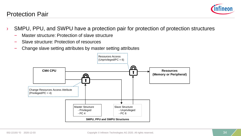

#### Protection Pair

- › SMPU, PPU, and SWPU have a protection pair for protection of protection structures
	- Master structure: Protection of slave structure
	- Slave structure: Protection of resources
	- Change slave setting attributes by master setting attributes

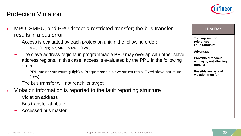

- Access is evaluated by each protection unit in the following order:
	- MPU (High) > SMPU > PPU (Low)
- The slave address regions in programmable PPU may overlap with other slave address regions. In this case, access is evaluated by the PPU in the following order:
	- PPU master structure (High) > Programmable slave structures > Fixed slave structure (Low)
- The bus transfer will not reach its target
- Violation information is reported to the fault reporting structure
	- Violation address
	- Bus transfer attribute
	- Accessed bus master



#### 002-22193 \*D 2020-12-03 **Copyright © Infineon Technologies AG 2020.** All rights reserved. 35

**Possible analysis of violation transfer**

**Hint Bar** 

**Training section references: Fault Structure**

**Prevents erroneous writing by not allowing** 

**Advantage:**

**transfer**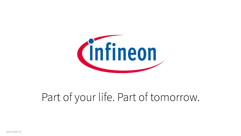

## Part of your life. Part of tomorrow.